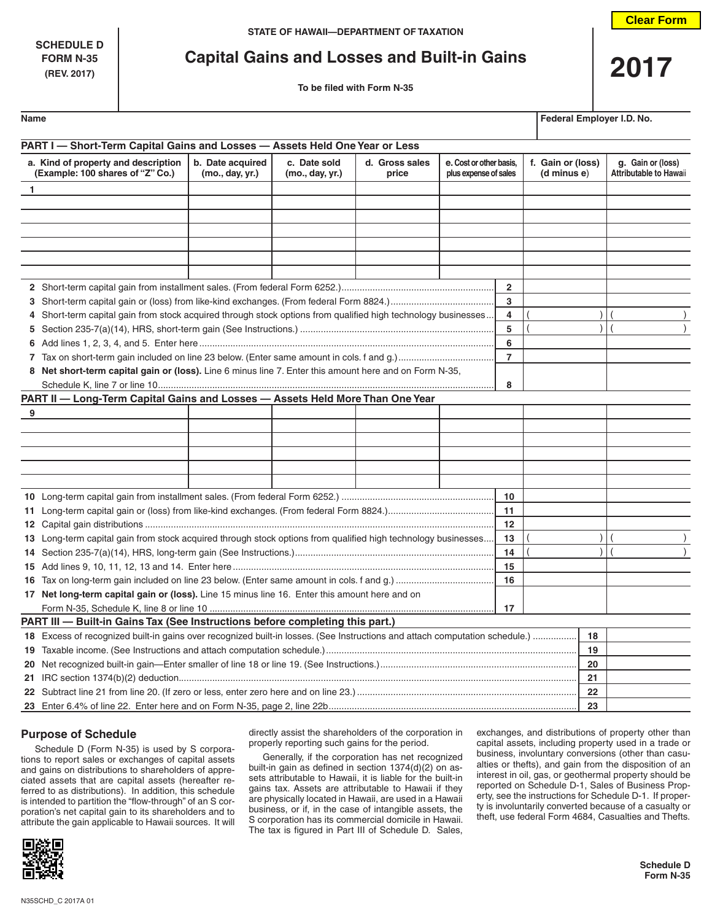**SCHEDULE D**

**FORM N-35**<br>
(REV. 2017)<br> **Capital Gains and Losses and Built-in Gains<br>
To be filed with Form N-35** 

| Name | Federal Employer I.D. No. |
|------|---------------------------|
|------|---------------------------|

| PART I - Short-Term Capital Gains and Losses - Assets Held One Year or Less                                   |                                                                                                                             |                                 |                         |                                                  |                |                                  |                                                    |  |
|---------------------------------------------------------------------------------------------------------------|-----------------------------------------------------------------------------------------------------------------------------|---------------------------------|-------------------------|--------------------------------------------------|----------------|----------------------------------|----------------------------------------------------|--|
| a. Kind of property and description<br>(Example: 100 shares of "Z" Co.)                                       | b. Date acquired<br>(mo., day, yr.)                                                                                         | c. Date sold<br>(mo., day, yr.) | d. Gross sales<br>price | e. Cost or other basis.<br>plus expense of sales |                | f. Gain or (loss)<br>(d minus e) | g. Gain or (loss)<br><b>Attributable to Hawaii</b> |  |
| 1                                                                                                             |                                                                                                                             |                                 |                         |                                                  |                |                                  |                                                    |  |
|                                                                                                               |                                                                                                                             |                                 |                         |                                                  |                |                                  |                                                    |  |
|                                                                                                               |                                                                                                                             |                                 |                         |                                                  |                |                                  |                                                    |  |
|                                                                                                               |                                                                                                                             |                                 |                         |                                                  |                |                                  |                                                    |  |
|                                                                                                               |                                                                                                                             |                                 |                         |                                                  |                |                                  |                                                    |  |
|                                                                                                               |                                                                                                                             |                                 |                         |                                                  |                |                                  |                                                    |  |
|                                                                                                               |                                                                                                                             |                                 |                         |                                                  |                |                                  |                                                    |  |
|                                                                                                               |                                                                                                                             |                                 |                         |                                                  | $\overline{2}$ |                                  |                                                    |  |
|                                                                                                               |                                                                                                                             |                                 |                         |                                                  | 3              |                                  |                                                    |  |
| 4 Short-term capital gain from stock acquired through stock options from qualified high technology businesses |                                                                                                                             |                                 |                         |                                                  | 4              |                                  |                                                    |  |
|                                                                                                               |                                                                                                                             |                                 |                         |                                                  | 5              |                                  |                                                    |  |
|                                                                                                               |                                                                                                                             |                                 |                         |                                                  | 6              |                                  |                                                    |  |
|                                                                                                               |                                                                                                                             |                                 |                         |                                                  | $\overline{7}$ |                                  |                                                    |  |
| 8 Net short-term capital gain or (loss). Line 6 minus line 7. Enter this amount here and on Form N-35,        |                                                                                                                             |                                 |                         |                                                  |                |                                  |                                                    |  |
|                                                                                                               |                                                                                                                             |                                 |                         |                                                  | 8              |                                  |                                                    |  |
| PART II - Long-Term Capital Gains and Losses - Assets Held More Than One Year                                 |                                                                                                                             |                                 |                         |                                                  |                |                                  |                                                    |  |
| 9                                                                                                             |                                                                                                                             |                                 |                         |                                                  |                |                                  |                                                    |  |
|                                                                                                               |                                                                                                                             |                                 |                         |                                                  |                |                                  |                                                    |  |
|                                                                                                               |                                                                                                                             |                                 |                         |                                                  |                |                                  |                                                    |  |
|                                                                                                               |                                                                                                                             |                                 |                         |                                                  |                |                                  |                                                    |  |
|                                                                                                               |                                                                                                                             |                                 |                         |                                                  |                |                                  |                                                    |  |
|                                                                                                               |                                                                                                                             |                                 |                         |                                                  |                |                                  |                                                    |  |
|                                                                                                               |                                                                                                                             |                                 |                         |                                                  | 10             |                                  |                                                    |  |
|                                                                                                               |                                                                                                                             |                                 |                         |                                                  | 11             |                                  |                                                    |  |
|                                                                                                               |                                                                                                                             |                                 |                         |                                                  | 12             |                                  |                                                    |  |
| 13 Long-term capital gain from stock acquired through stock options from qualified high technology businesses |                                                                                                                             |                                 |                         |                                                  | 13             |                                  |                                                    |  |
|                                                                                                               | 14                                                                                                                          |                                 |                         |                                                  |                |                                  |                                                    |  |
|                                                                                                               | 15                                                                                                                          |                                 |                         |                                                  |                |                                  |                                                    |  |
| 16                                                                                                            |                                                                                                                             |                                 |                         |                                                  |                |                                  |                                                    |  |
| 17 Net long-term capital gain or (loss). Line 15 minus line 16. Enter this amount here and on                 |                                                                                                                             |                                 |                         |                                                  |                |                                  |                                                    |  |
|                                                                                                               |                                                                                                                             |                                 |                         |                                                  | 17             |                                  |                                                    |  |
| PART III - Built-in Gains Tax (See Instructions before completing this part.)                                 |                                                                                                                             |                                 |                         |                                                  |                |                                  |                                                    |  |
|                                                                                                               | 18 Excess of recognized built-in gains over recognized built-in losses. (See Instructions and attach computation schedule.) |                                 |                         |                                                  |                |                                  |                                                    |  |
|                                                                                                               | 19<br>20                                                                                                                    |                                 |                         |                                                  |                |                                  |                                                    |  |
|                                                                                                               |                                                                                                                             |                                 |                         |                                                  |                |                                  |                                                    |  |
|                                                                                                               |                                                                                                                             |                                 |                         |                                                  |                |                                  |                                                    |  |
|                                                                                                               |                                                                                                                             |                                 |                         |                                                  |                |                                  |                                                    |  |
|                                                                                                               |                                                                                                                             |                                 |                         |                                                  |                | 23                               |                                                    |  |

## **Purpose of Schedule**

Schedule D (Form N-35) is used by S corporations to report sales or exchanges of capital assets and gains on distributions to shareholders of appreciated assets that are capital assets (hereafter referred to as distributions). In addition, this schedule is intended to partition the "flow-through" of an S corporation's net capital gain to its shareholders and to attribute the gain applicable to Hawaii sources. It will

directly assist the shareholders of the corporation in properly reporting such gains for the period.

Generally, if the corporation has net recognized built-in gain as defined in section  $1374(d)(2)$  on assets attributable to Hawaii, it is liable for the built-in gains tax. Assets are attributable to Hawaii if they are physically located in Hawaii, are used in a Hawaii business, or if, in the case of intangible assets, the S corporation has its commercial domicile in Hawaii. The tax is figured in Part III of Schedule D. Sales,

exchanges, and distributions of property other than capital assets, including property used in a trade or business, involuntary conversions (other than casualties or thefts), and gain from the disposition of an interest in oil, gas, or geothermal property should be reported on Schedule D-1, Sales of Business Property, see the instructions for Schedule D-1. If property is involuntarily converted because of a casualty or theft, use federal Form 4684, Casualties and Thefts.